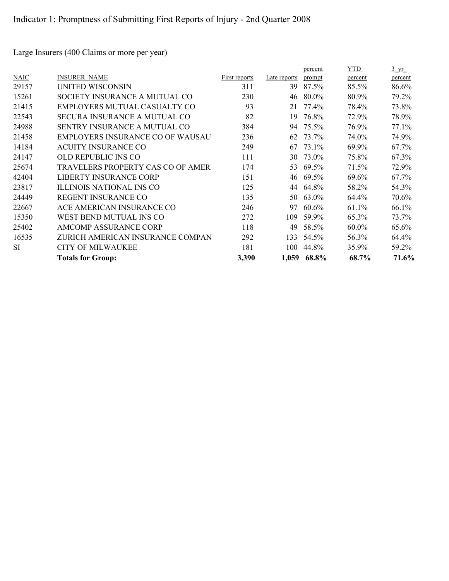Large Insurers (400 Claims or more per year)

|             |                                    |                      |              | percent | YTD      | $3 \text{ yr}$ |
|-------------|------------------------------------|----------------------|--------------|---------|----------|----------------|
| <b>NAIC</b> | <b>INSURER NAME</b>                | <b>First reports</b> | Late reports | prompt  | percent  | percent        |
| 29157       | UNITED WISCONSIN                   | 311                  | 39           | 87.5%   | 85.5%    | 86.6%          |
| 15261       | SOCIETY INSURANCE A MUTUAL CO      | 230                  | 46           | 80.0%   | 80.9%    | 79.2%          |
| 21415       | EMPLOYERS MUTUAL CASUALTY CO       | 93                   | 21           | 77.4%   | 78.4%    | 73.8%          |
| 22543       | SECURA INSURANCE A MUTUAL CO       | 82                   | 19           | 76.8%   | 72.9%    | 78.9%          |
| 24988       | SENTRY INSURANCE A MUTUAL CO       | 384                  | 94           | 75.5%   | 76.9%    | 77.1%          |
| 21458       | EMPLOYERS INSURANCE CO OF WAUSAU   | 236                  | 62           | 73.7%   | 74.0%    | 74.9%          |
| 14184       | <b>ACUITY INSURANCE CO</b>         | 249                  | 67           | 73.1%   | 69.9%    | 67.7%          |
| 24147       | OLD REPUBLIC INS CO                | 111                  | 30           | 73.0%   | 75.8%    | 67.3%          |
| 25674       | TRAVELERS PROPERTY CAS CO OF AMERI | 174                  | 53           | 69.5%   | 71.5%    | 72.9%          |
| 42404       | <b>LIBERTY INSURANCE CORP</b>      | 151                  | 46           | 69.5%   | 69.6%    | 67.7%          |
| 23817       | ILLINOIS NATIONAL INS CO           | 125                  | 44           | 64.8%   | 58.2%    | 54.3%          |
| 24449       | REGENT INSURANCE CO                | 135                  | 50           | 63.0%   | 64.4%    | 70.6%          |
| 22667       | ACE AMERICAN INSURANCE CO          | 246                  | 97           | 60.6%   | 61.1%    | 66.1%          |
| 15350       | WEST BEND MUTUAL INS CO            | 272                  | 109          | 59.9%   | 65.3%    | 73.7%          |
| 25402       | <b>AMCOMP ASSURANCE CORP</b>       | 118                  | 49           | 58.5%   | $60.0\%$ | 65.6%          |
| 16535       | ZURICH AMERICAN INSURANCE COMPAN   | 292                  | 133          | 54.5%   | 56.3%    | 64.4%          |
| <b>SI</b>   | <b>CITY OF MILWAUKEE</b>           | 181                  | 100          | 44.8%   | 35.9%    | 59.2%          |
|             | <b>Totals for Group:</b>           | 3,390                | 1,059        | 68.8%   | 68.7%    | 71.6%          |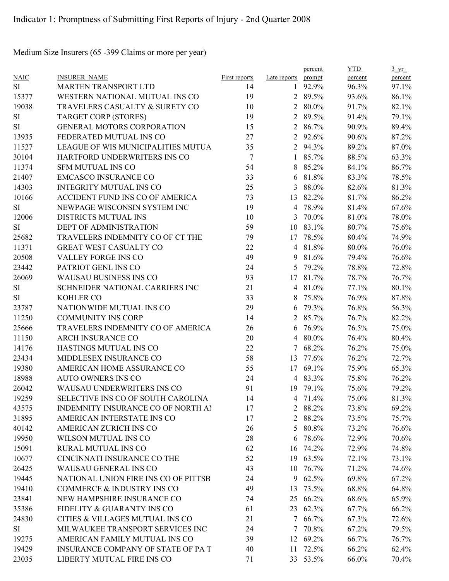Medium Size Insurers (65 -399 Claims or more per year)

|             |                                      |               |                | percent  | <b>YTD</b> | $3 \text{ yr}$ |
|-------------|--------------------------------------|---------------|----------------|----------|------------|----------------|
| <b>NAIC</b> | <b>INSURER NAME</b>                  | First reports | Late reports   | prompt   | percent    | percent        |
| SI          | <b>MARTEN TRANSPORT LTD</b>          | 14            | $\mathbf{1}$   | 92.9%    | 96.3%      | 97.1%          |
| 15377       | WESTERN NATIONAL MUTUAL INS CO       | 19            |                | 2 89.5%  | 93.6%      | 86.1%          |
| 19038       | TRAVELERS CASUALTY & SURETY CO       | 10            | $\overline{2}$ | 80.0%    | 91.7%      | 82.1%          |
| SI          | <b>TARGET CORP (STORES)</b>          | 19            | $\overline{2}$ | 89.5%    | 91.4%      | 79.1%          |
| SI          | <b>GENERAL MOTORS CORPORATION</b>    | 15            | $\overline{2}$ | 86.7%    | 90.9%      | 89.4%          |
| 13935       | FEDERATED MUTUAL INS CO              | 27            | $\overline{2}$ | 92.6%    | 90.6%      | 87.2%          |
| 11527       | LEAGUE OF WIS MUNICIPALITIES MUTUA   | 35            | $\overline{2}$ | 94.3%    | 89.2%      | 87.0%          |
| 30104       | HARTFORD UNDERWRITERS INS CO         | 7             | $\mathbf{1}$   | 85.7%    | 88.5%      | 63.3%          |
| 11374       | <b>SFM MUTUAL INS CO</b>             | 54            | 8              | 85.2%    | 84.1%      | 86.7%          |
| 21407       | <b>EMCASCO INSURANCE CO</b>          | 33            | 6              | 81.8%    | 83.3%      | 78.5%          |
| 14303       | <b>INTEGRITY MUTUAL INS CO</b>       | 25            | 3              | 88.0%    | 82.6%      | 81.3%          |
| 10166       | ACCIDENT FUND INS CO OF AMERICA      | 73            | 13             | 82.2%    | 81.7%      | 86.2%          |
| SI          | NEWPAGE WISCONSIN SYSTEM INC         | 19            | $\overline{4}$ | 78.9%    | 81.4%      | 67.6%          |
| 12006       | DISTRICTS MUTUAL INS                 | 10            | 3              | 70.0%    | 81.0%      | 78.0%          |
| <b>SI</b>   | DEPT OF ADMINISTRATION               | 59            | 10             | 83.1%    | 80.7%      | 75.6%          |
| 25682       | TRAVELERS INDEMNITY CO OF CT THE     | 79            | 17             | 78.5%    | 80.4%      | 74.9%          |
| 11371       | <b>GREAT WEST CASUALTY CO</b>        | 22            | $\overline{4}$ | 81.8%    | 80.0%      | 76.0%          |
| 20508       | VALLEY FORGE INS CO                  | 49            | 9              | 81.6%    | 79.4%      | 76.6%          |
| 23442       | PATRIOT GENL INS CO                  | 24            | 5              | 79.2%    | 78.8%      | 72.8%          |
| 26069       | WAUSAU BUSINESS INS CO               | 93            | 17             | 81.7%    | 78.7%      | 76.7%          |
| SI          | SCHNEIDER NATIONAL CARRIERS INC      | 21            | $\overline{4}$ | 81.0%    | 77.1%      | 80.1%          |
| SI          | <b>KOHLER CO</b>                     | 33            | 8              | 75.8%    | 76.9%      | 87.8%          |
| 23787       | NATIONWIDE MUTUAL INS CO             | 29            | 6              | 79.3%    | 76.8%      | 56.3%          |
| 11250       | <b>COMMUNITY INS CORP</b>            | 14            | 2              | 85.7%    | 76.7%      | 82.2%          |
| 25666       | TRAVELERS INDEMNITY CO OF AMERICA    | 26            | 6              | 76.9%    | 76.5%      | 75.0%          |
| 11150       | <b>ARCH INSURANCE CO</b>             | 20            | $\overline{4}$ | 80.0%    | 76.4%      | 80.4%          |
| 14176       | HASTINGS MUTUAL INS CO               | 22            | 7              | 68.2%    | 76.2%      | 75.0%          |
| 23434       | MIDDLESEX INSURANCE CO               | 58            | 13             | 77.6%    | 76.2%      | 72.7%          |
| 19380       | AMERICAN HOME ASSURANCE CO           | 55            | 17             | 69.1%    | 75.9%      | 65.3%          |
| 18988       | <b>AUTO OWNERS INS CO</b>            | 24            |                | 4 83.3%  | 75.8%      | 76.2%          |
| 26042       | <b>WAUSAU UNDERWRITERS INS CO</b>    | 91            |                | 19 79.1% | 75.6%      | 79.2%          |
| 19259       | SELECTIVE INS CO OF SOUTH CAROLINA   | 14            | 4              | 71.4%    | 75.0%      | 81.3%          |
| 43575       | INDEMNITY INSURANCE CO OF NORTH AI   | 17            | $\overline{2}$ | 88.2%    | 73.8%      | 69.2%          |
| 31895       | AMERICAN INTERSTATE INS CO           | 17            |                | 2 88.2%  | 73.5%      | 75.7%          |
| 40142       | AMERICAN ZURICH INS CO               | 26            | 5              | 80.8%    | 73.2%      | 76.6%          |
| 19950       | WILSON MUTUAL INS CO                 | 28            | 6              | 78.6%    | 72.9%      | 70.6%          |
| 15091       | RURAL MUTUAL INS CO                  | 62            | 16             | 74.2%    | 72.9%      | 74.8%          |
| 10677       | CINCINNATI INSURANCE CO THE          | 52            | 19             | 63.5%    | 72.1%      | 73.1%          |
| 26425       | <b>WAUSAU GENERAL INS CO</b>         | 43            | 10             | 76.7%    | 71.2%      | 74.6%          |
| 19445       | NATIONAL UNION FIRE INS CO OF PITTSB | 24            | 9              | 62.5%    | 69.8%      | 67.2%          |
| 19410       | COMMERCE & INDUSTRY INS CO           | 49            | 13             | 73.5%    | 68.8%      | 64.8%          |
| 23841       | NEW HAMPSHIRE INSURANCE CO           |               |                | 25 66.2% | 68.6%      | 65.9%          |
| 35386       | FIDELITY & GUARANTY INS CO           | 74            |                |          |            |                |
|             |                                      | 61            |                | 23 62.3% | 67.7%      | 66.2%          |
| 24830       | CITIES & VILLAGES MUTUAL INS CO      | 21            |                | 7 66.7%  | 67.3%      | 72.6%          |
| SI          | MILWAUKEE TRANSPORT SERVICES INC     | 24            | 7              | 70.8%    | 67.2%      | 79.5%          |
| 19275       | AMERICAN FAMILY MUTUAL INS CO        | 39            |                | 12 69.2% | 66.7%      | 76.7%          |
| 19429       | INSURANCE COMPANY OF STATE OF PAT    | 40            | 11             | 72.5%    | 66.2%      | 62.4%          |
| 23035       | LIBERTY MUTUAL FIRE INS CO           | 71            |                | 33 53.5% | 66.0%      | 70.4%          |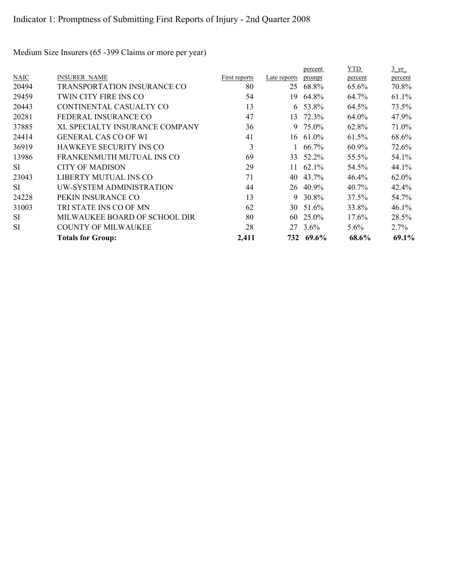Medium Size Insurers (65 -399 Claims or more per year)

|             |                                |                      |              | percent         | <b>YTD</b> | $\frac{3}{2}$ yr |
|-------------|--------------------------------|----------------------|--------------|-----------------|------------|------------------|
| <b>NAIC</b> | <b>INSURER NAME</b>            | <b>First reports</b> | Late reports | prompt          | percent    | percent          |
| 20494       | TRANSPORTATION INSURANCE CO    | 80                   | 25           | 68.8%           | 65.6%      | 70.8%            |
| 29459       | TWIN CITY FIRE INS CO          | 54                   | 19           | 64.8%           | 64.7%      | 61.1%            |
| 20443       | CONTINENTAL CASUALTY CO        | 13                   |              | $6\quad 53.8\%$ | 64.5%      | 73.5%            |
| 20281       | FEDERAL INSURANCE CO           | 47                   |              | 13 72.3%        | 64.0%      | 47.9%            |
| 37885       | XL SPECIALTY INSURANCE COMPANY | 36                   | 9            | 75.0%           | 62.8%      | 71.0%            |
| 24414       | <b>GENERAL CAS CO OF WI</b>    | 41                   |              | 16 61.0%        | 61.5%      | 68.6%            |
| 36919       | <b>HAWKEYE SECURITY INS CO</b> | 3                    |              | 66.7%           | 60.9%      | 72.6%            |
| 13986       | FRANKENMUTH MUTUAL INS CO      | 69                   | 33           | 52.2%           | 55.5%      | 54.1%            |
| <b>SI</b>   | <b>CITY OF MADISON</b>         | 29                   | 11           | 62.1%           | 54.5%      | 44.1%            |
| 23043       | LIBERTY MUTUAL INS CO          | 71                   | 40           | 43.7%           | 46.4%      | 62.0%            |
| <b>SI</b>   | UW-SYSTEM ADMINISTRATION       | 44                   | 26           | 40.9%           | 40.7%      | 42.4%            |
| 24228       | PEKIN INSURANCE CO             | 13                   | 9            | 30.8%           | 37.5%      | 54.7%            |
| 31003       | TRI STATE INS CO OF MN         | 62                   |              | 30 51.6%        | 33.8%      | 46.1%            |
| <b>SI</b>   | MILWAUKEE BOARD OF SCHOOL DIR  | 80                   | 60           | 25.0%           | 17.6%      | 28.5%            |
| <b>SI</b>   | <b>COUNTY OF MILWAUKEE</b>     | 28                   | 27           | $3.6\%$         | $5.6\%$    | 2.7%             |
|             | <b>Totals for Group:</b>       | 2,411                |              | 732 69.6%       | 68.6%      | 69.1%            |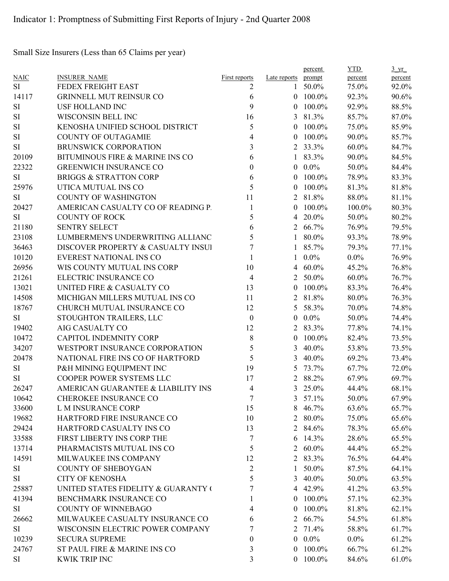Small Size Insurers (Less than 65 Claims per year)

|             |                                     |                          |                     | percent         | <b>YTD</b> | $\frac{3 \text{ yr}}{2}$ |
|-------------|-------------------------------------|--------------------------|---------------------|-----------------|------------|--------------------------|
| <b>NAIC</b> | <b>INSURER NAME</b>                 | <b>First reports</b>     | Late reports prompt |                 | percent    | percent                  |
| <b>SI</b>   | FEDEX FREIGHT EAST                  | 2                        |                     | 1 50.0%         | 75.0%      | 92.0%                    |
| 14117       | <b>GRINNELL MUT REINSUR CO</b>      | 6                        |                     | $0$ 100.0%      | 92.3%      | 90.6%                    |
| <b>SI</b>   | <b>USF HOLLAND INC</b>              | 9                        | $\theta$            | 100.0%          | 92.9%      | 88.5%                    |
| SI          | WISCONSIN BELL INC                  | 16                       | 3                   | 81.3%           | 85.7%      | 87.0%                    |
| SI          | KENOSHA UNIFIED SCHOOL DISTRICT     | 5                        | $\theta$            | 100.0%          | 75.0%      | 85.9%                    |
| SI          | <b>COUNTY OF OUTAGAMIE</b>          | $\overline{\mathcal{A}}$ | $\theta$            | 100.0%          | 90.0%      | 85.7%                    |
| SI          | <b>BRUNSWICK CORPORATION</b>        | 3                        | 2                   | 33.3%           | 60.0%      | 84.7%                    |
| 20109       | BITUMINOUS FIRE & MARINE INS CO     | 6                        | 1                   | 83.3%           | 90.0%      | 84.5%                    |
| 22322       | <b>GREENWICH INSURANCE CO</b>       | $\boldsymbol{0}$         | $\overline{0}$      | $0.0\%$         | 50.0%      | 84.4%                    |
| <b>SI</b>   | <b>BRIGGS &amp; STRATTON CORP</b>   | 6                        | $\theta$            | 100.0%          | 78.9%      | 83.3%                    |
| 25976       | UTICA MUTUAL INS CO                 | 5                        | $\overline{0}$      | 100.0%          | 81.3%      | 81.8%                    |
| SI          | <b>COUNTY OF WASHINGTON</b>         | 11                       |                     | 2 81.8%         | 88.0%      | 81.1%                    |
| 20427       | AMERICAN CASUALTY CO OF READING P.  | 1                        | $\theta$            | 100.0%          | 100.0%     | 80.3%                    |
| <b>SI</b>   | <b>COUNTY OF ROCK</b>               | 5                        | 4                   | 20.0%           | 50.0%      | 80.2%                    |
| 21180       | <b>SENTRY SELECT</b>                | 6                        | 2                   | 66.7%           | 76.9%      | 79.5%                    |
| 23108       | LUMBERMEN'S UNDERWRITING ALLIANC    | 5                        | 1                   | 80.0%           | 93.3%      | 78.9%                    |
| 36463       | DISCOVER PROPERTY & CASUALTY INSUI  | 7                        |                     | 85.7%           | 79.3%      | 77.1%                    |
| 10120       | <b>EVEREST NATIONAL INS CO</b>      | 1                        | $\mathbf{1}$        | $0.0\%$         | $0.0\%$    | 76.9%                    |
| 26956       | WIS COUNTY MUTUAL INS CORP          | 10                       |                     | 4 $60.0\%$      | 45.2%      | 76.8%                    |
| 21261       | ELECTRIC INSURANCE CO               | $\overline{4}$           | 2                   | 50.0%           | $60.0\%$   | 76.7%                    |
| 13021       | UNITED FIRE & CASUALTY CO           | 13                       | $\theta$            | 100.0%          | 83.3%      | 76.4%                    |
| 14508       | MICHIGAN MILLERS MUTUAL INS CO      | 11                       | 2                   | 81.8%           | 80.0%      | 76.3%                    |
| 18767       | CHURCH MUTUAL INSURANCE CO          | 12                       | 5                   | 58.3%           | 70.0%      | 74.8%                    |
| SI          | STOUGHTON TRAILERS, LLC             | $\boldsymbol{0}$         | $\overline{0}$      | $0.0\%$         | 50.0%      | 74.4%                    |
| 19402       | AIG CASUALTY CO                     | 12                       | 2                   | 83.3%           | 77.8%      | 74.1%                    |
| 10472       | <b>CAPITOL INDEMNITY CORP</b>       | 8                        | $\overline{0}$      | 100.0%          | 82.4%      | 73.5%                    |
| 34207       | WESTPORT INSURANCE CORPORATION      | 5                        | 3                   | 40.0%           | 53.8%      | 73.5%                    |
| 20478       | NATIONAL FIRE INS CO OF HARTFORD    | 5                        | 3                   | 40.0%           | 69.2%      | 73.4%                    |
| <b>SI</b>   | P&H MINING EQUIPMENT INC            | 19                       | 5                   | 73.7%           | 67.7%      | 72.0%                    |
| SI          | COOPER POWER SYSTEMS LLC            | 17                       | 2                   | 88.2%           | 67.9%      | 69.7%                    |
| 26247       | AMERICAN GUARANTEE & LIABILITY INS  | $\overline{4}$           | 3                   | 25.0%           | 44.4%      | 68.1%                    |
| 10642       | CHEROKEE INSURANCE CO               | 7                        |                     | $3\quad 57.1\%$ | 50.0%      | 67.9%                    |
| 33600       | L M INSURANCE CORP                  | 15                       |                     | 8 46.7%         | 63.6%      | 65.7%                    |
| 19682       | HARTFORD FIRE INSURANCE CO          | 10                       |                     | 2 80.0%         | 75.0%      | 65.6%                    |
| 29424       | HARTFORD CASUALTY INS CO            | 13                       |                     | 2 84.6%         | 78.3%      | 65.6%                    |
| 33588       | FIRST LIBERTY INS CORP THE          | 7                        |                     | 6 $14.3\%$      | 28.6%      | 65.5%                    |
| 13714       | PHARMACISTS MUTUAL INS CO           | 5                        |                     | $2\,60.0\%$     | 44.4%      | 65.2%                    |
| 14591       | MILWAUKEE INS COMPANY               |                          |                     |                 | 76.5%      |                          |
|             | <b>COUNTY OF SHEBOYGAN</b>          | 12                       |                     | 2 83.3%         |            | 64.4%                    |
| SI          |                                     | $\overline{2}$           | 1                   | 50.0%           | 87.5%      | 64.1%                    |
| SI          | <b>CITY OF KENOSHA</b>              | 5                        |                     | 3 $40.0\%$      | 50.0%      | 63.5%                    |
| 25887       | UNITED STATES FIDELITY & GUARANTY ( | 7                        |                     | 4 42.9%         | 41.2%      | 63.5%                    |
| 41394       | BENCHMARK INSURANCE CO              | 1                        |                     | $0$ 100.0%      | 57.1%      | 62.3%                    |
| SI          | <b>COUNTY OF WINNEBAGO</b>          | 4                        |                     | $0$ 100.0%      | 81.8%      | 62.1%                    |
| 26662       | MILWAUKEE CASUALTY INSURANCE CO     | 6                        |                     | 2 66.7%         | 54.5%      | 61.8%                    |
| SI          | WISCONSIN ELECTRIC POWER COMPANY    | 7                        | 2                   | 71.4%           | 58.8%      | 61.7%                    |
| 10239       | <b>SECURA SUPREME</b>               | 0                        |                     | $0\quad 0.0\%$  | $0.0\%$    | 61.2%                    |
| 24767       | ST PAUL FIRE & MARINE INS CO        | 3                        | $\theta$            | 100.0%          | 66.7%      | 61.2%                    |
| SI          | <b>KWIK TRIP INC</b>                | 3                        |                     | $0$ 100.0%      | 84.6%      | 61.0%                    |